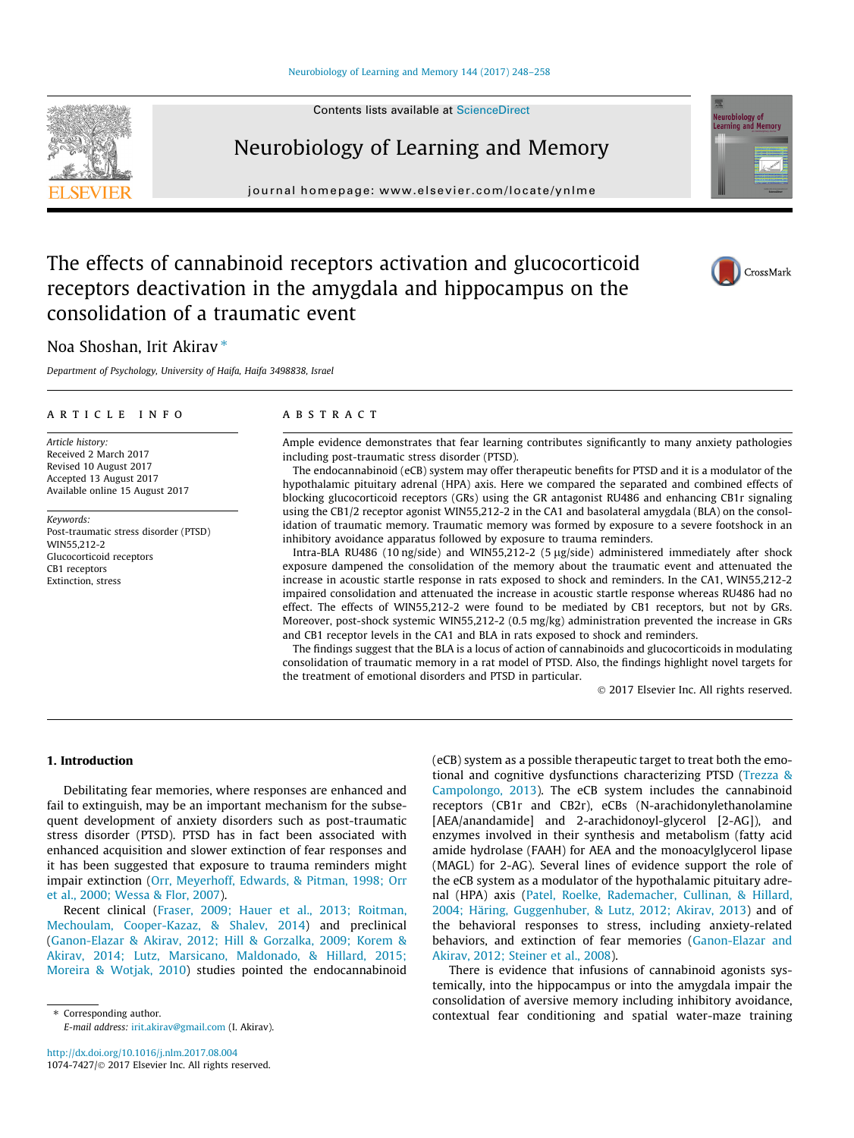#### [Neurobiology of Learning and Memory 144 \(2017\) 248–258](http://dx.doi.org/10.1016/j.nlm.2017.08.004)

# Neurobiology of Learning and Memory

journal homepage: [www.elsevier.com/locate/ynlme](http://www.elsevier.com/locate/ynlme)

### The effects of cannabinoid receptors activation and glucocorticoid receptors deactivation in the amygdala and hippocampus on the consolidation of a traumatic event

### Noa Shoshan, Irit Akirav<sup>\*</sup>

Department of Psychology, University of Haifa, Haifa 3498838, Israel

#### article info

Article history: Received 2 March 2017 Revised 10 August 2017 Accepted 13 August 2017 Available online 15 August 2017

Keywords: Post-traumatic stress disorder (PTSD) WIN55,212-2 Glucocorticoid receptors CB1 receptors Extinction, stress

#### **ABSTRACT**

Ample evidence demonstrates that fear learning contributes significantly to many anxiety pathologies including post-traumatic stress disorder (PTSD).

The endocannabinoid (eCB) system may offer therapeutic benefits for PTSD and it is a modulator of the hypothalamic pituitary adrenal (HPA) axis. Here we compared the separated and combined effects of blocking glucocorticoid receptors (GRs) using the GR antagonist RU486 and enhancing CB1r signaling using the CB1/2 receptor agonist WIN55,212-2 in the CA1 and basolateral amygdala (BLA) on the consolidation of traumatic memory. Traumatic memory was formed by exposure to a severe footshock in an inhibitory avoidance apparatus followed by exposure to trauma reminders.

Intra-BLA RU486 (10 ng/side) and WIN55,212-2 (5 µg/side) administered immediately after shock exposure dampened the consolidation of the memory about the traumatic event and attenuated the increase in acoustic startle response in rats exposed to shock and reminders. In the CA1, WIN55,212-2 impaired consolidation and attenuated the increase in acoustic startle response whereas RU486 had no effect. The effects of WIN55,212-2 were found to be mediated by CB1 receptors, but not by GRs. Moreover, post-shock systemic WIN55,212-2 (0.5 mg/kg) administration prevented the increase in GRs and CB1 receptor levels in the CA1 and BLA in rats exposed to shock and reminders.

The findings suggest that the BLA is a locus of action of cannabinoids and glucocorticoids in modulating consolidation of traumatic memory in a rat model of PTSD. Also, the findings highlight novel targets for the treatment of emotional disorders and PTSD in particular.

2017 Elsevier Inc. All rights reserved.

#### 1. Introduction

Debilitating fear memories, where responses are enhanced and fail to extinguish, may be an important mechanism for the subsequent development of anxiety disorders such as post-traumatic stress disorder (PTSD). PTSD has in fact been associated with enhanced acquisition and slower extinction of fear responses and it has been suggested that exposure to trauma reminders might impair extinction (Orr, Meyerhoff, Edwards, & Pitman, 1998; Orr et al., 2000; Wessa & Flor, 2007).

Recent clinical (Fraser, 2009; Hauer et al., 2013; Roitman, Mechoulam, Cooper-Kazaz, & Shalev, 2014) and preclinical (Ganon-Elazar & Akirav, 2012; Hill & Gorzalka, 2009; Korem & Akirav, 2014; Lutz, Marsicano, Maldonado, & Hillard, 2015; Moreira & Wotjak, 2010) studies pointed the endocannabinoid

⇑ Corresponding author. E-mail address: [irit.akirav@gmail.com](mailto:irit.akirav@gmail.com) (I. Akirav). (eCB) system as a possible therapeutic target to treat both the emotional and cognitive dysfunctions characterizing PTSD (Trezza & Campolongo, 2013). The eCB system includes the cannabinoid receptors (CB1r and CB2r), eCBs (N-arachidonylethanolamine [AEA/anandamide] and 2-arachidonoyl-glycerol [2-AG]), and enzymes involved in their synthesis and metabolism (fatty acid amide hydrolase (FAAH) for AEA and the monoacylglycerol lipase (MAGL) for 2-AG). Several lines of evidence support the role of the eCB system as a modulator of the hypothalamic pituitary adrenal (HPA) axis (Patel, Roelke, Rademacher, Cullinan, & Hillard, 2004; Häring, Guggenhuber, & Lutz, 2012; Akirav, 2013) and of the behavioral responses to stress, including anxiety-related behaviors, and extinction of fear memories (Ganon-Elazar and Akirav, 2012; Steiner et al., 2008).

There is evidence that infusions of cannabinoid agonists systemically, into the hippocampus or into the amygdala impair the consolidation of aversive memory including inhibitory avoidance, contextual fear conditioning and spatial water-maze training





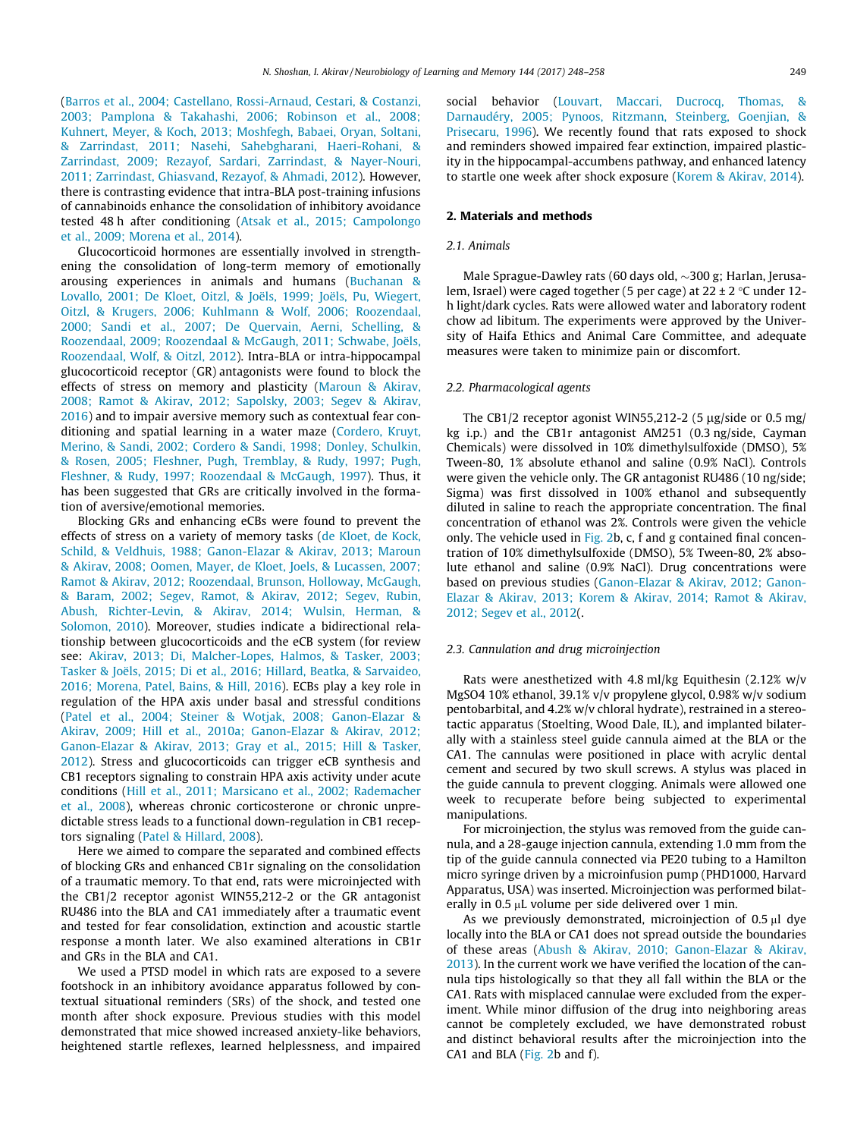(Barros et al., 2004; Castellano, Rossi-Arnaud, Cestari, & Costanzi, 2003; Pamplona & Takahashi, 2006; Robinson et al., 2008; Kuhnert, Meyer, & Koch, 2013; Moshfegh, Babaei, Oryan, Soltani, & Zarrindast, 2011; Nasehi, Sahebgharani, Haeri-Rohani, & Zarrindast, 2009; Rezayof, Sardari, Zarrindast, & Nayer-Nouri, 2011; Zarrindast, Ghiasvand, Rezayof, & Ahmadi, 2012). However, there is contrasting evidence that intra-BLA post-training infusions of cannabinoids enhance the consolidation of inhibitory avoidance tested 48 h after conditioning (Atsak et al., 2015; Campolongo et al., 2009; Morena et al., 2014).

Glucocorticoid hormones are essentially involved in strengthening the consolidation of long-term memory of emotionally arousing experiences in animals and humans (Buchanan & Lovallo, 2001; De Kloet, Oitzl, & Joëls, 1999; Joëls, Pu, Wiegert, Oitzl, & Krugers, 2006; Kuhlmann & Wolf, 2006; Roozendaal, 2000; Sandi et al., 2007; De Quervain, Aerni, Schelling, & Roozendaal, 2009; Roozendaal & McGaugh, 2011; Schwabe, Joëls, Roozendaal, Wolf, & Oitzl, 2012). Intra-BLA or intra-hippocampal glucocorticoid receptor (GR) antagonists were found to block the effects of stress on memory and plasticity (Maroun & Akirav, 2008; Ramot & Akirav, 2012; Sapolsky, 2003; Segev & Akirav, 2016) and to impair aversive memory such as contextual fear conditioning and spatial learning in a water maze (Cordero, Kruyt, Merino, & Sandi, 2002; Cordero & Sandi, 1998; Donley, Schulkin, & Rosen, 2005; Fleshner, Pugh, Tremblay, & Rudy, 1997; Pugh, Fleshner, & Rudy, 1997; Roozendaal & McGaugh, 1997). Thus, it has been suggested that GRs are critically involved in the formation of aversive/emotional memories.

Blocking GRs and enhancing eCBs were found to prevent the effects of stress on a variety of memory tasks (de Kloet, de Kock, Schild, & Veldhuis, 1988; Ganon-Elazar & Akirav, 2013; Maroun & Akirav, 2008; Oomen, Mayer, de Kloet, Joels, & Lucassen, 2007; Ramot & Akirav, 2012; Roozendaal, Brunson, Holloway, McGaugh, & Baram, 2002; Segev, Ramot, & Akirav, 2012; Segev, Rubin, Abush, Richter-Levin, & Akirav, 2014; Wulsin, Herman, & Solomon, 2010). Moreover, studies indicate a bidirectional relationship between glucocorticoids and the eCB system (for review see: Akirav, 2013; Di, Malcher-Lopes, Halmos, & Tasker, 2003; Tasker & Joëls, 2015; Di et al., 2016; Hillard, Beatka, & Sarvaideo, 2016; Morena, Patel, Bains, & Hill, 2016). ECBs play a key role in regulation of the HPA axis under basal and stressful conditions (Patel et al., 2004; Steiner & Wotjak, 2008; Ganon-Elazar & Akirav, 2009; Hill et al., 2010a; Ganon-Elazar & Akirav, 2012; Ganon-Elazar & Akirav, 2013; Gray et al., 2015; Hill & Tasker, 2012). Stress and glucocorticoids can trigger eCB synthesis and CB1 receptors signaling to constrain HPA axis activity under acute conditions (Hill et al., 2011; Marsicano et al., 2002; Rademacher et al., 2008), whereas chronic corticosterone or chronic unpredictable stress leads to a functional down-regulation in CB1 receptors signaling (Patel & Hillard, 2008).

Here we aimed to compare the separated and combined effects of blocking GRs and enhanced CB1r signaling on the consolidation of a traumatic memory. To that end, rats were microinjected with the CB1/2 receptor agonist WIN55,212-2 or the GR antagonist RU486 into the BLA and CA1 immediately after a traumatic event and tested for fear consolidation, extinction and acoustic startle response a month later. We also examined alterations in CB1r and GRs in the BLA and CA1.

We used a PTSD model in which rats are exposed to a severe footshock in an inhibitory avoidance apparatus followed by contextual situational reminders (SRs) of the shock, and tested one month after shock exposure. Previous studies with this model demonstrated that mice showed increased anxiety-like behaviors, heightened startle reflexes, learned helplessness, and impaired social behavior (Louvart, Maccari, Ducrocq, Thomas, & Darnaudéry, 2005; Pynoos, Ritzmann, Steinberg, Goenjian, & Prisecaru, 1996). We recently found that rats exposed to shock and reminders showed impaired fear extinction, impaired plasticity in the hippocampal-accumbens pathway, and enhanced latency to startle one week after shock exposure (Korem & Akirav, 2014).

#### 2. Materials and methods

#### 2.1. Animals

Male Sprague-Dawley rats (60 days old,  $\sim$ 300 g; Harlan, Jerusalem, Israel) were caged together (5 per cage) at  $22 \pm 2$  °C under 12h light/dark cycles. Rats were allowed water and laboratory rodent chow ad libitum. The experiments were approved by the University of Haifa Ethics and Animal Care Committee, and adequate measures were taken to minimize pain or discomfort.

#### 2.2. Pharmacological agents

The CB1/2 receptor agonist WIN55,212-2 (5  $\mu$ g/side or 0.5 mg/ kg i.p.) and the CB1r antagonist AM251 (0.3 ng/side, Cayman Chemicals) were dissolved in 10% dimethylsulfoxide (DMSO), 5% Tween-80, 1% absolute ethanol and saline (0.9% NaCl). Controls were given the vehicle only. The GR antagonist RU486 (10 ng/side; Sigma) was first dissolved in 100% ethanol and subsequently diluted in saline to reach the appropriate concentration. The final concentration of ethanol was 2%. Controls were given the vehicle only. The vehicle used in Fig. 2b, c, f and g contained final concentration of 10% dimethylsulfoxide (DMSO), 5% Tween-80, 2% absolute ethanol and saline (0.9% NaCl). Drug concentrations were based on previous studies (Ganon-Elazar & Akirav, 2012; Ganon-Elazar & Akirav, 2013; Korem & Akirav, 2014; Ramot & Akirav, 2012; Segev et al., 2012(.

#### 2.3. Cannulation and drug microinjection

Rats were anesthetized with 4.8 ml/kg Equithesin (2.12% w/v MgSO4 10% ethanol, 39.1% v/v propylene glycol, 0.98% w/v sodium pentobarbital, and 4.2% w/v chloral hydrate), restrained in a stereotactic apparatus (Stoelting, Wood Dale, IL), and implanted bilaterally with a stainless steel guide cannula aimed at the BLA or the CA1. The cannulas were positioned in place with acrylic dental cement and secured by two skull screws. A stylus was placed in the guide cannula to prevent clogging. Animals were allowed one week to recuperate before being subjected to experimental manipulations.

For microinjection, the stylus was removed from the guide cannula, and a 28-gauge injection cannula, extending 1.0 mm from the tip of the guide cannula connected via PE20 tubing to a Hamilton micro syringe driven by a microinfusion pump (PHD1000, Harvard Apparatus, USA) was inserted. Microinjection was performed bilaterally in 0.5  $\mu$ L volume per side delivered over 1 min.

As we previously demonstrated, microinjection of  $0.5 \mu l$  dye locally into the BLA or CA1 does not spread outside the boundaries of these areas (Abush & Akirav, 2010; Ganon-Elazar & Akirav, 2013). In the current work we have verified the location of the cannula tips histologically so that they all fall within the BLA or the CA1. Rats with misplaced cannulae were excluded from the experiment. While minor diffusion of the drug into neighboring areas cannot be completely excluded, we have demonstrated robust and distinct behavioral results after the microinjection into the CA1 and BLA (Fig. 2b and f).